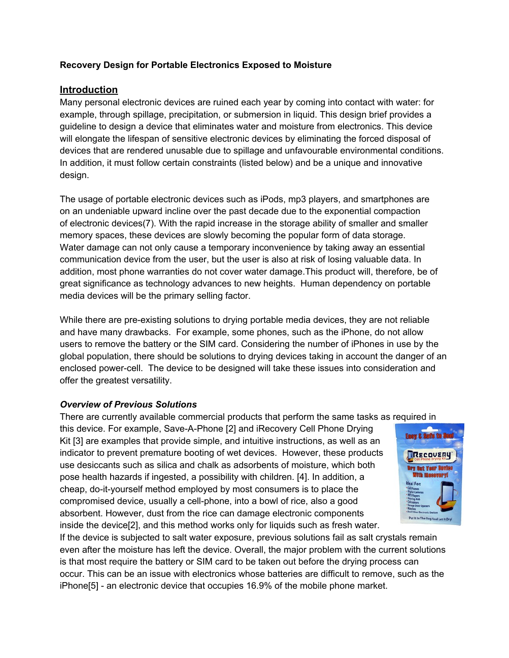## **Recovery Design for Portable Electronics Exposed to Moisture**

## **Introduction**

Many personal electronic devices are ruined each year by coming into contact with water: for example, through spillage, precipitation, or submersion in liquid. This design brief provides a guideline to design a device that eliminates water and moisture from electronics. This device will elongate the lifespan of sensitive electronic devices by eliminating the forced disposal of devices that are rendered unusable due to spillage and unfavourable environmental conditions. In addition, it must follow certain constraints (listed below) and be a unique and innovative design.

The usage of portable electronic devices such as iPods, mp3 players, and smartphones are on an undeniable upward incline over the past decade due to the exponential compaction of electronic devices(7). With the rapid increase in the storage ability of smaller and smaller memory spaces, these devices are slowly becoming the popular form of data storage. Water damage can not only cause a temporary inconvenience by taking away an essential communication device from the user, but the user is also at risk of losing valuable data. In addition, most phone warranties do not cover water damage.This product will, therefore, be of great significance as technology advances to new heights. Human dependency on portable media devices will be the primary selling factor.

While there are pre-existing solutions to drying portable media devices, they are not reliable and have many drawbacks. For example, some phones, such as the iPhone, do not allow users to remove the battery or the SIM card. Considering the number of iPhones in use by the global population, there should be solutions to drying devices taking in account the danger of an enclosed power-cell. The device to be designed will take these issues into consideration and offer the greatest versatility.

### *Overview of Previous Solutions*

There are currently available commercial products that perform the same tasks as required in

this device. For example, Save-A-Phone [2] and iRecovery Cell Phone Drying Kit [3] are examples that provide simple, and intuitive instructions, as well as an indicator to prevent premature booting of wet devices. However, these products use desiccants such as silica and chalk as adsorbents of moisture, which both pose health hazards if ingested, a possibility with children. [4]. In addition, a cheap, do-it-yourself method employed by most consumers is to place the compromised device, usually a cell-phone, into a bowl of rice, also a good absorbent. However, dust from the rice can damage electronic components inside the device[2], and this method works only for liquids such as fresh water.



If the device is subjected to salt water exposure, previous solutions fail as salt crystals remain even after the moisture has left the device. Overall, the major problem with the current solutions is that most require the battery or SIM card to be taken out before the drying process can occur. This can be an issue with electronics whose batteries are difficult to remove, such as the iPhone[5] - an electronic device that occupies 16.9% of the mobile phone market.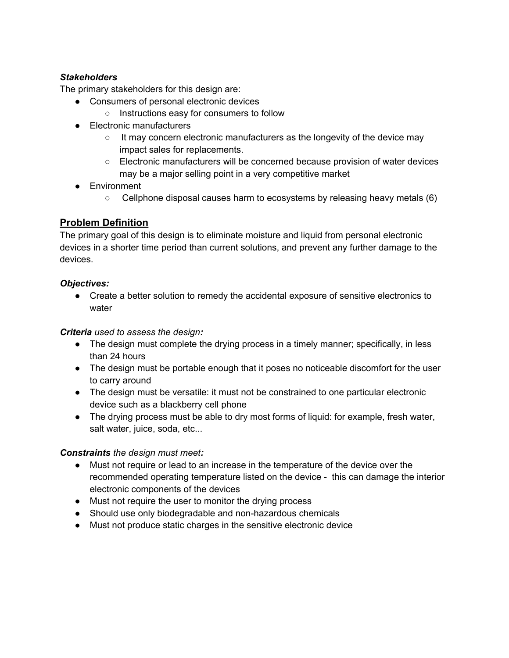# *Stakeholders*

The primary stakeholders for this design are:

- Consumers of personal electronic devices
	- Instructions easy for consumers to follow
- Electronic manufacturers
	- $\circ$  It may concern electronic manufacturers as the longevity of the device may impact sales for replacements.
	- Electronic manufacturers will be concerned because provision of water devices may be a major selling point in a very competitive market
- Environment
	- Cellphone disposal causes harm to ecosystems by releasing heavy metals (6)

# **Problem Definition**

The primary goal of this design is to eliminate moisture and liquid from personal electronic devices in a shorter time period than current solutions, and prevent any further damage to the devices.

# *Objectives:*

• Create a better solution to remedy the accidental exposure of sensitive electronics to water

# *Criteria used to assess the design:*

- **●** The design must complete the drying process in a timely manner; specifically, in less than 24 hours
- **●** The design must be portable enough that it poses no noticeable discomfort for the user to carry around
- **●** The design must be versatile: it must not be constrained to one particular electronic device such as a blackberry cell phone
- **●** The drying process must be able to dry most forms of liquid: for example, fresh water, salt water, juice, soda, etc...

# *Constraints the design must meet:*

- Must not require or lead to an increase in the temperature of the device over the recommended operating temperature listed on the device - this can damage the interior electronic components of the devices
- Must not require the user to monitor the drying process
- Should use only biodegradable and non-hazardous chemicals
- Must not produce static charges in the sensitive electronic device